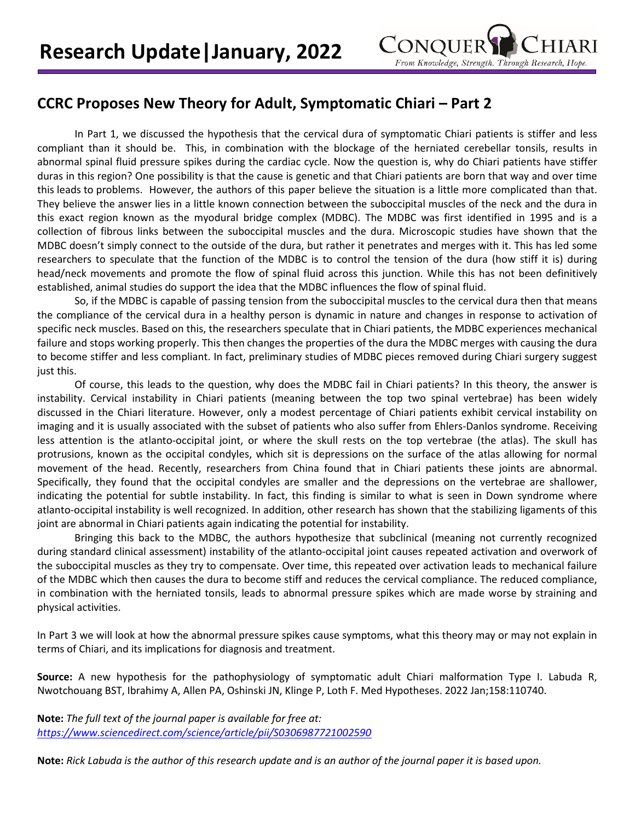

## **CCRC Proposes New Theory for Adult, Symptomatic Chiari – Part 2**

In Part 1, we discussed the hypothesis that the cervical dura of symptomatic Chiari patients is stiffer and less compliant than it should be. This, in combination with the blockage of the herniated cerebellar tonsils, results in abnormal spinal fluid pressure spikes during the cardiac cycle. Now the question is, why do Chiari patients have stiffer duras in this region? One possibility is that the cause is genetic and that Chiari patients are born that way and over time this leads to problems. However, the authors of this paper believe the situation is a little more complicated than that. They believe the answer lies in a little known connection between the suboccipital muscles of the neck and the dura in this exact region known as the myodural bridge complex (MDBC). The MDBC was first identified in 1995 and is a collection of fibrous links between the suboccipital muscles and the dura. Microscopic studies have shown that the MDBC doesn't simply connect to the outside of the dura, but rather it penetrates and merges with it. This has led some researchers to speculate that the function of the MDBC is to control the tension of the dura (how stiff it is) during head/neck movements and promote the flow of spinal fluid across this junction. While this has not been definitively established, animal studies do support the idea that the MDBC influences the flow of spinal fluid.

So, if the MDBC is capable of passing tension from the suboccipital muscles to the cervical dura then that means the compliance of the cervical dura in a healthy person is dynamic in nature and changes in response to activation of specific neck muscles. Based on this, the researchers speculate that in Chiari patients, the MDBC experiences mechanical failure and stops working properly. This then changes the properties of the dura the MDBC merges with causing the dura to become stiffer and less compliant. In fact, preliminary studies of MDBC pieces removed during Chiari surgery suggest just this.

Of course, this leads to the question, why does the MDBC fail in Chiari patients? In this theory, the answer is instability. Cervical instability in Chiari patients (meaning between the top two spinal vertebrae) has been widely discussed in the Chiari literature. However, only a modest percentage of Chiari patients exhibit cervical instability on imaging and it is usually associated with the subset of patients who also suffer from Ehlers-Danlos syndrome. Receiving less attention is the atlanto-occipital joint, or where the skull rests on the top vertebrae (the atlas). The skull has protrusions, known as the occipital condyles, which sit is depressions on the surface of the atlas allowing for normal movement of the head. Recently, researchers from China found that in Chiari patients these joints are abnormal. Specifically, they found that the occipital condyles are smaller and the depressions on the vertebrae are shallower, indicating the potential for subtle instability. In fact, this finding is similar to what is seen in Down syndrome where atlanto-occipital instability is well recognized. In addition, other research has shown that the stabilizing ligaments of this joint are abnormal in Chiari patients again indicating the potential for instability.

Bringing this back to the MDBC, the authors hypothesize that subclinical (meaning not currently recognized during standard clinical assessment) instability of the atlanto-occipital joint causes repeated activation and overwork of the suboccipital muscles as they try to compensate. Over time, this repeated over activation leads to mechanical failure of the MDBC which then causes the dura to become stiff and reduces the cervical compliance. The reduced compliance, in combination with the herniated tonsils, leads to abnormal pressure spikes which are made worse by straining and physical activities.

In Part 3 we will look at how the abnormal pressure spikes cause symptoms, what this theory may or may not explain in terms of Chiari, and its implications for diagnosis and treatment.

**Source:** A new hypothesis for the pathophysiology of symptomatic adult Chiari malformation Type I. Labuda R, Nwotchouang BST, Ibrahimy A, Allen PA, Oshinski JN, Klinge P, Loth F. Med Hypotheses. 2022 Jan;158:110740.

**Note:** *The full text of the journal paper is available for free at: <https://www.sciencedirect.com/science/article/pii/S0306987721002590>*

**Note:** *Rick Labuda is the author of this research update and is an author of the journal paper it is based upon.*